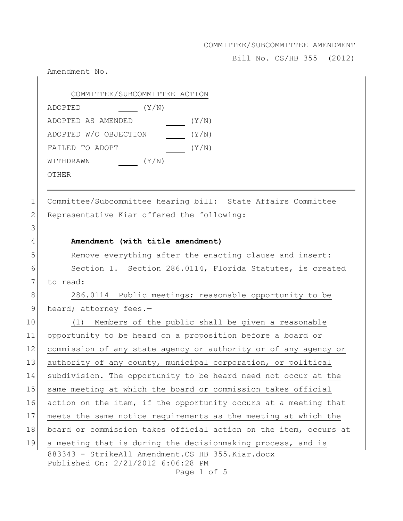Bill No. CS/HB 355 (2012)

Amendment No. 883343 - StrikeAll Amendment.CS HB 355.Kiar.docx Published On: 2/21/2012 6:06:28 PM Page 1 of 5 COMMITTEE/SUBCOMMITTEE ACTION ADOPTED(Y/N) ADOPTED AS AMENDED(Y/N) ADOPTED W/O OBJECTION (Y/N) FAILED TO ADOPT  $(Y/N)$ WITHDRAWN(Y/N) OTHER 1 Committee/Subcommittee hearing bill: State Affairs Committee 2 Representative Kiar offered the following: 3 4 **Amendment (with title amendment)** 5 Remove everything after the enacting clause and insert: 6 Section 1. Section 286.0114, Florida Statutes, is created 7 to read: 8 286.0114 Public meetings; reasonable opportunity to be 9 heard; attorney fees.-10 (1) Members of the public shall be given a reasonable 11 opportunity to be heard on a proposition before a board or 12 commission of any state agency or authority or of any agency or 13 authority of any county, municipal corporation, or political 14 subdivision. The opportunity to be heard need not occur at the 15 same meeting at which the board or commission takes official 16 action on the item, if the opportunity occurs at a meeting that 17 meets the same notice requirements as the meeting at which the 18 board or commission takes official action on the item, occurs at 19 a meeting that is during the decisionmaking process, and is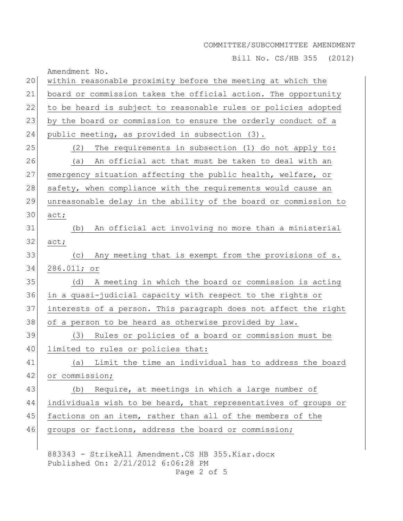Bill No. CS/HB 355 (2012)

| 20 | Amendment No.                                                   |
|----|-----------------------------------------------------------------|
|    | within reasonable proximity before the meeting at which the     |
| 21 | board or commission takes the official action. The opportunity  |
| 22 | to be heard is subject to reasonable rules or policies adopted  |
| 23 | by the board or commission to ensure the orderly conduct of a   |
| 24 | public meeting, as provided in subsection (3).                  |
| 25 | (2)<br>The requirements in subsection (1) do not apply to:      |
| 26 | An official act that must be taken to deal with an<br>(a)       |
| 27 | emergency situation affecting the public health, welfare, or    |
| 28 | safety, when compliance with the requirements would cause an    |
| 29 | unreasonable delay in the ability of the board or commission to |
| 30 | act;                                                            |
| 31 | An official act involving no more than a ministerial<br>(b)     |
| 32 | act;                                                            |
| 33 | Any meeting that is exempt from the provisions of s.<br>(C)     |
| 34 | 286.011; or                                                     |
| 35 | A meeting in which the board or commission is acting<br>(d)     |
| 36 | in a quasi-judicial capacity with respect to the rights or      |
| 37 | interests of a person. This paragraph does not affect the right |
| 38 | of a person to be heard as otherwise provided by law.           |
| 39 | Rules or policies of a board or commission must be<br>(3)       |
| 40 | limited to rules or policies that:                              |
| 41 | (a) Limit the time an individual has to address the board       |
| 42 | or commission;                                                  |
| 43 | Require, at meetings in which a large number of<br>(b)          |
| 44 | individuals wish to be heard, that representatives of groups or |
| 45 | factions on an item, rather than all of the members of the      |
| 46 | groups or factions, address the board or commission;            |
|    |                                                                 |

883343 - StrikeAll Amendment.CS HB 355.Kiar.docx Published On: 2/21/2012 6:06:28 PM Page 2 of 5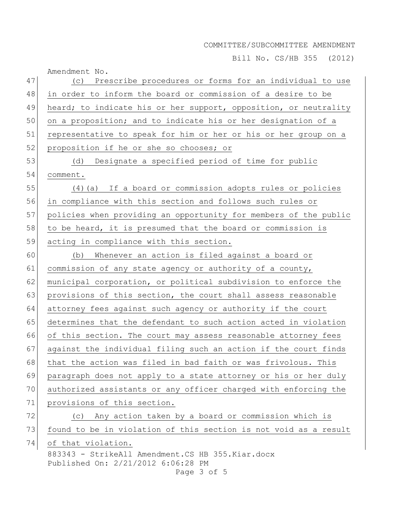Bill No. CS/HB 355 (2012)

|    | Amendment No.                                                                                         |
|----|-------------------------------------------------------------------------------------------------------|
| 47 | (c) Prescribe procedures or forms for an individual to use                                            |
| 48 | in order to inform the board or commission of a desire to be                                          |
| 49 | heard; to indicate his or her support, opposition, or neutrality                                      |
| 50 | on a proposition; and to indicate his or her designation of a                                         |
| 51 | representative to speak for him or her or his or her group on a                                       |
| 52 | proposition if he or she so chooses; or                                                               |
| 53 | Designate a specified period of time for public<br>(d)                                                |
| 54 | comment.                                                                                              |
| 55 | (4) (a) If a board or commission adopts rules or policies                                             |
| 56 | in compliance with this section and follows such rules or                                             |
| 57 | policies when providing an opportunity for members of the public                                      |
| 58 | to be heard, it is presumed that the board or commission is                                           |
| 59 | acting in compliance with this section.                                                               |
| 60 | Whenever an action is filed against a board or<br>(b)                                                 |
| 61 | commission of any state agency or authority of a county,                                              |
| 62 | municipal corporation, or political subdivision to enforce the                                        |
| 63 | provisions of this section, the court shall assess reasonable                                         |
| 64 | attorney fees against such agency or authority if the court                                           |
| 65 | determines that the defendant to such action acted in violation                                       |
| 66 | of this section. The court may assess reasonable attorney fees                                        |
| 67 | against the individual filing such an action if the court finds                                       |
| 68 | that the action was filed in bad faith or was frivolous. This                                         |
| 69 | paragraph does not apply to a state attorney or his or her duly                                       |
| 70 | authorized assistants or any officer charged with enforcing the                                       |
| 71 | provisions of this section.                                                                           |
| 72 | (c) Any action taken by a board or commission which is                                                |
| 73 | found to be in violation of this section is not void as a result                                      |
| 74 | of that violation.                                                                                    |
|    | 883343 - StrikeAll Amendment.CS HB 355.Kiar.docx<br>Published On: 2/21/2012 6:06:28 PM<br>Page 3 of 5 |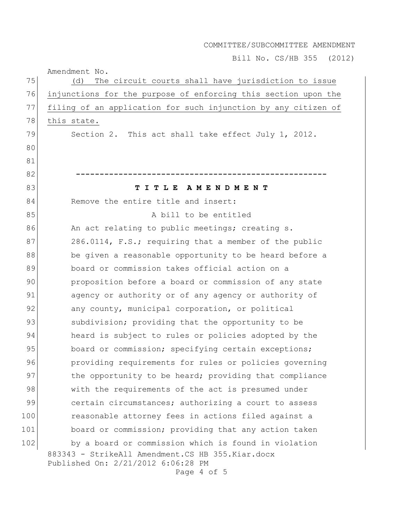Bill No. CS/HB 355 (2012)

Amendment No. 883343 - StrikeAll Amendment.CS HB 355.Kiar.docx Published On: 2/21/2012 6:06:28 PM 75 (d) The circuit courts shall have jurisdiction to issue 76 injunctions for the purpose of enforcing this section upon the 77 filing of an application for such injunction by any citizen of 78 this state. 79 Section 2. This act shall take effect July 1, 2012. 80 81 82 **-----------------------------------------------------** 83 **T I T L E A M E N D M E N T** 84 Remove the entire title and insert: 85 a bill to be entitled 86 An act relating to public meetings; creating s. 87 286.0114, F.S.; requiring that a member of the public 88 be given a reasonable opportunity to be heard before a 89 board or commission takes official action on a 90 proposition before a board or commission of any state 91 agency or authority or of any agency or authority of 92 any county, municipal corporation, or political 93 subdivision; providing that the opportunity to be 94 heard is subject to rules or policies adopted by the 95 board or commission; specifying certain exceptions; 96 providing requirements for rules or policies governing 97 bloophortunity to be heard; providing that compliance 98 with the requirements of the act is presumed under 99 certain circumstances; authorizing a court to assess 100 reasonable attorney fees in actions filed against a 101 board or commission; providing that any action taken 102 by a board or commission which is found in violation

Page 4 of 5